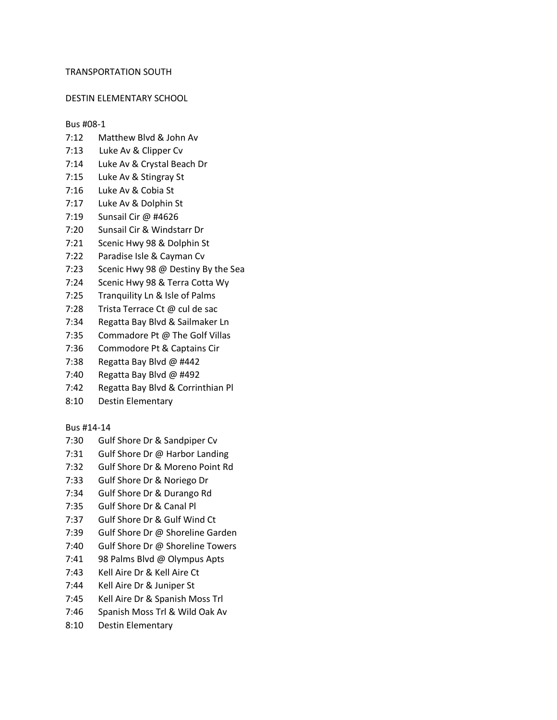#### TRANSPORTATION SOUTH

#### DESTIN ELEMENTARY SCHOOL

# Bus #08-1

- 7:12 Matthew Blvd & John Av
- 7:13 Luke Av & Clipper Cv
- 7:14 Luke Av & Crystal Beach Dr
- 7:15 Luke Av & Stingray St
- 7:16 Luke Av & Cobia St
- 7:17 Luke Av & Dolphin St
- 7:19 Sunsail Cir @ #4626
- 7:20 Sunsail Cir & Windstarr Dr
- 7:21 Scenic Hwy 98 & Dolphin St
- 7:22 Paradise Isle & Cayman Cv
- 7:23 Scenic Hwy 98 @ Destiny By the Sea
- 7:24 Scenic Hwy 98 & Terra Cotta Wy
- 7:25 Tranquility Ln & Isle of Palms
- 7:28 Trista Terrace Ct @ cul de sac
- 7:34 Regatta Bay Blvd & Sailmaker Ln
- 7:35 Commadore Pt @ The Golf Villas
- 7:36 Commodore Pt & Captains Cir
- 7:38 Regatta Bay Blvd @ #442
- 7:40 Regatta Bay Blvd @ #492
- 7:42 Regatta Bay Blvd & Corrinthian Pl
- 8:10 Destin Elementary

# Bus #14-14

- 7:30 Gulf Shore Dr & Sandpiper Cv
- 7:31 Gulf Shore Dr @ Harbor Landing
- 7:32 Gulf Shore Dr & Moreno Point Rd
- 7:33 Gulf Shore Dr & Noriego Dr
- 7:34 Gulf Shore Dr & Durango Rd
- 7:35 Gulf Shore Dr & Canal Pl
- 7:37 Gulf Shore Dr & Gulf Wind Ct
- 7:39 Gulf Shore Dr @ Shoreline Garden
- 7:40 Gulf Shore Dr @ Shoreline Towers
- 7:41 98 Palms Blvd @ Olympus Apts
- 7:43 Kell Aire Dr & Kell Aire Ct
- 7:44 Kell Aire Dr & Juniper St
- 7:45 Kell Aire Dr & Spanish Moss Trl
- 7:46 Spanish Moss Trl & Wild Oak Av
- 8:10 Destin Elementary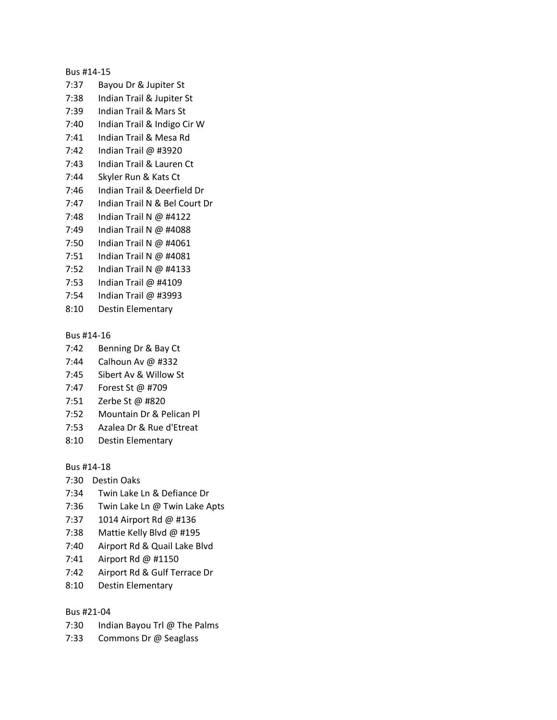#### Bus #14-15

- 7:37 Bayou Dr & Jupiter St
- 7:38 Indian Trail & Jupiter St
- 7:39 Indian Trail & Mars St
- 7:40 Indian Trail & Indigo Cir W
- 7:41 Indian Trail & Mesa Rd
- 7:42 Indian Trail @ #3920
- 7:43 Indian Trail & Lauren Ct
- 7:44 Skyler Run & Kats Ct
- 7:46 Indian Trail & Deerfield Dr
- 7:47 Indian Trail N & Bel Court Dr
- 7:48 Indian Trail N @ #4122
- 7:49 Indian Trail N @ #4088
- 7:50 Indian Trail N @ #4061
- 7:51 Indian Trail N @ #4081
- 7:52 Indian Trail N @ #4133
- 7:53 Indian Trail @ #4109
- 7:54 Indian Trail @ #3993
- 8:10 Destin Elementary

# Bus #14-16

- 7:42 Benning Dr & Bay Ct
- 7:44 Calhoun Av @ #332
- 7:45 Sibert Av & Willow St
- 7:47 Forest St @ #709
- 7:51 Zerbe St @ #820
- 7:52 Mountain Dr & Pelican Pl
- 7:53 Azalea Dr & Rue d'Etreat
- 8:10 Destin Elementary

# Bus #14-18

- 7:30 Destin Oaks
- 7:34 Twin Lake Ln & Defiance Dr
- 7:36 Twin Lake Ln @ Twin Lake Apts
- 7:37 1014 Airport Rd @ #136
- 7:38 Mattie Kelly Blvd @ #195
- 7:40 Airport Rd & Quail Lake Blvd
- 7:41 Airport Rd @ #1150
- 7:42 Airport Rd & Gulf Terrace Dr
- 8:10 Destin Elementary

# Bus #21-04

- 7:30 Indian Bayou Trl @ The Palms
- 7:33 Commons Dr @ Seaglass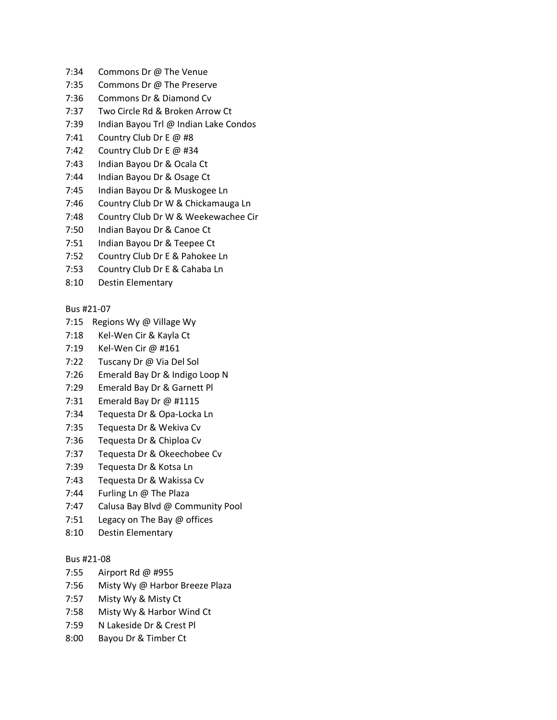- 7:34 Commons Dr @ The Venue
- 7:35 Commons Dr @ The Preserve
- 7:36 Commons Dr & Diamond Cv
- 7:37 Two Circle Rd & Broken Arrow Ct
- 7:39 Indian Bayou Trl @ Indian Lake Condos
- 7:41 Country Club Dr E @ #8
- 7:42 Country Club Dr E @ #34
- 7:43 Indian Bayou Dr & Ocala Ct
- 7:44 Indian Bayou Dr & Osage Ct
- 7:45 Indian Bayou Dr & Muskogee Ln
- 7:46 Country Club Dr W & Chickamauga Ln
- 7:48 Country Club Dr W & Weekewachee Cir
- 7:50 Indian Bayou Dr & Canoe Ct
- 7:51 Indian Bayou Dr & Teepee Ct
- 7:52 Country Club Dr E & Pahokee Ln
- 7:53 Country Club Dr E & Cahaba Ln
- 8:10 Destin Elementary

# Bus #21-07

- 7:15 Regions Wy @ Village Wy
- 7:18 Kel-Wen Cir & Kayla Ct
- 7:19 Kel-Wen Cir @ #161
- 7:22 Tuscany Dr @ Via Del Sol
- 7:26 Emerald Bay Dr & Indigo Loop N
- 7:29 Emerald Bay Dr & Garnett Pl
- 7:31 Emerald Bay Dr @ #1115
- 7:34 Tequesta Dr & Opa-Locka Ln
- 7:35 Tequesta Dr & Wekiva Cv
- 7:36 Tequesta Dr & Chiploa Cv
- 7:37 Tequesta Dr & Okeechobee Cv
- 7:39 Tequesta Dr & Kotsa Ln
- 7:43 Tequesta Dr & Wakissa Cv
- 7:44 Furling Ln @ The Plaza
- 7:47 Calusa Bay Blvd @ Community Pool
- 7:51 Legacy on The Bay @ offices
- 8:10 Destin Elementary

# Bus #21-08

- 7:55 Airport Rd @ #955
- 7:56 Misty Wy @ Harbor Breeze Plaza
- 7:57 Misty Wy & Misty Ct
- 7:58 Misty Wy & Harbor Wind Ct
- 7:59 N Lakeside Dr & Crest Pl
- 8:00 Bayou Dr & Timber Ct